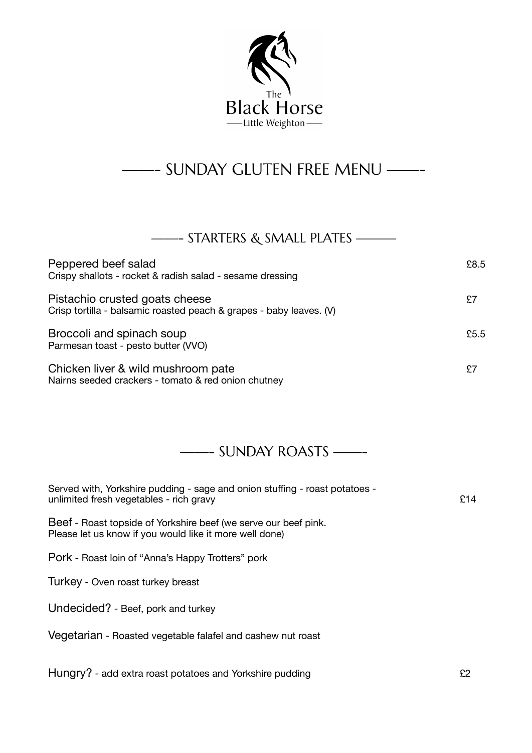

## ——- SUNDAY GLUTEN FREE MENU ——-

## ——- STARTERS & SMALL PLATES ———

| Peppered beef salad<br>Crispy shallots - rocket & radish salad - sesame dressing                      | £8.5 |
|-------------------------------------------------------------------------------------------------------|------|
| Pistachio crusted goats cheese<br>Crisp tortilla - balsamic roasted peach & grapes - baby leaves. (V) | £7   |
| Broccoli and spinach soup<br>Parmesan toast - pesto butter (VVO)                                      | £5.5 |
| Chicken liver & wild mushroom pate<br>Nairns seeded crackers - tomato & red onion chutney             | £7   |

## ——- SUNDAY ROASTS ——-

| Served with, Yorkshire pudding - sage and onion stuffing - roast potatoes -<br>unlimited fresh vegetables - rich gravy     | £14 |
|----------------------------------------------------------------------------------------------------------------------------|-----|
| Beef - Roast topside of Yorkshire beef (we serve our beef pink.<br>Please let us know if you would like it more well done) |     |
| Pork - Roast loin of "Anna's Happy Trotters" pork                                                                          |     |
| Turkey - Oven roast turkey breast                                                                                          |     |
| Undecided? - Beef, pork and turkey                                                                                         |     |
| Vegetarian - Roasted vegetable falafel and cashew nut roast                                                                |     |
| Hungry? - add extra roast potatoes and Yorkshire pudding                                                                   | £2  |